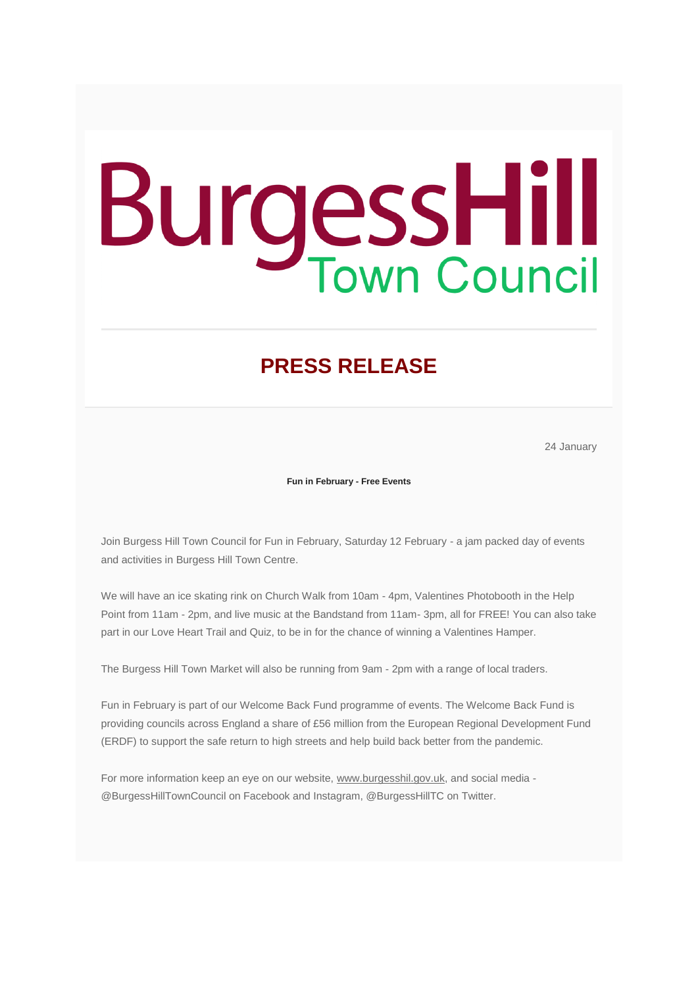## **BurgessHill**

## **PRESS RELEASE**

24 January

**Fun in February - Free Events**

Join Burgess Hill Town Council for Fun in February, Saturday 12 February - a jam packed day of events and activities in Burgess Hill Town Centre.

We will have an ice skating rink on Church Walk from 10am - 4pm, Valentines Photobooth in the Help Point from 11am - 2pm, and live music at the Bandstand from 11am- 3pm, all for FREE! You can also take part in our Love Heart Trail and Quiz, to be in for the chance of winning a Valentines Hamper.

The Burgess Hill Town Market will also be running from 9am - 2pm with a range of local traders.

Fun in February is part of our Welcome Back Fund programme of events. The Welcome Back Fund is providing councils across England a share of £56 million from the European Regional Development Fund (ERDF) to support the safe return to high streets and help build back better from the pandemic.

For more information keep an eye on our website, [www.burgesshil.gov.uk,](https://burgesshill.us10.list-manage.com/track/click?u=30247da64e23a2a09499f52fe&id=0c20ac4f36&e=bae4df6ef3) and social media - @BurgessHillTownCouncil on Facebook and Instagram, @BurgessHillTC on Twitter.